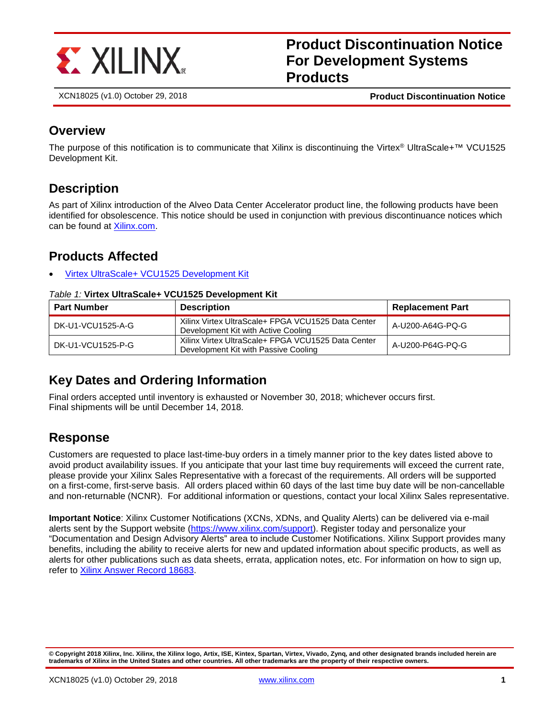

**Product Discontinuation Notice For Development Systems Products**

XCN18025 (v1.0) October 29, 2018 **Product Discontinuation Notice**

### **Overview**

The purpose of this notification is to communicate that Xilinx is discontinuing the Virtex® UltraScale+™ VCU1525 Development Kit.

## **Description**

As part of Xilinx introduction of the Alveo Data Center Accelerator product line, the following products have been identified for obsolescence. This notice should be used in conjunction with previous discontinuance notices which can be found at [Xilinx.com.](https://www.xilinx.com/support/documentation-navigation/customer-notices.html)

## **Products Affected**

• [Virtex UltraScale+ VCU1525 Development](#page-0-0) Kit

#### <span id="page-0-0"></span>*Table 1:* **Virtex UltraScale+ VCU1525 Development Kit**

| <b>Part Number</b> | <b>Description</b>                                                                         | <b>Replacement Part</b> |
|--------------------|--------------------------------------------------------------------------------------------|-------------------------|
| DK-U1-VCU1525-A-G  | Xilinx Virtex UltraScale+ FPGA VCU1525 Data Center<br>Development Kit with Active Cooling  | A-U200-A64G-PQ-G        |
| DK-U1-VCU1525-P-G  | Xilinx Virtex UltraScale+ FPGA VCU1525 Data Center<br>Development Kit with Passive Cooling | A-U200-P64G-PQ-G        |

## **Key Dates and Ordering Information**

Final orders accepted until inventory is exhausted or November 30, 2018; whichever occurs first. Final shipments will be until December 14, 2018.

### **Response**

Customers are requested to place last-time-buy orders in a timely manner prior to the key dates listed above to avoid product availability issues. If you anticipate that your last time buy requirements will exceed the current rate, please provide your Xilinx Sales Representative with a forecast of the requirements. All orders will be supported on a first-come, first-serve basis. All orders placed within 60 days of the last time buy date will be non-cancellable and non-returnable (NCNR). For additional information or questions, contact your local Xilinx Sales representative.

**Important Notice**: Xilinx Customer Notifications (XCNs, XDNs, and Quality Alerts) can be delivered via e-mail alerts sent by the Support website [\(https://www.xilinx.com/support\)](https://www.xilinx.com/support). Register today and personalize your "Documentation and Design Advisory Alerts" area to include Customer Notifications. Xilinx Support provides many benefits, including the ability to receive alerts for new and updated information about specific products, as well as alerts for other publications such as data sheets, errata, application notes, etc. For information on how to sign up, refer to [Xilinx Answer Record 18683.](http://www.xilinx.com/support/answers/18683.htm)

**<sup>©</sup> Copyright 2018 Xilinx, Inc. Xilinx, the Xilinx logo, Artix, ISE, Kintex, Spartan, Virtex, Vivado, Zynq, and other designated brands included herein are trademarks of Xilinx in the United States and other countries. All other trademarks are the property of their respective owners.**